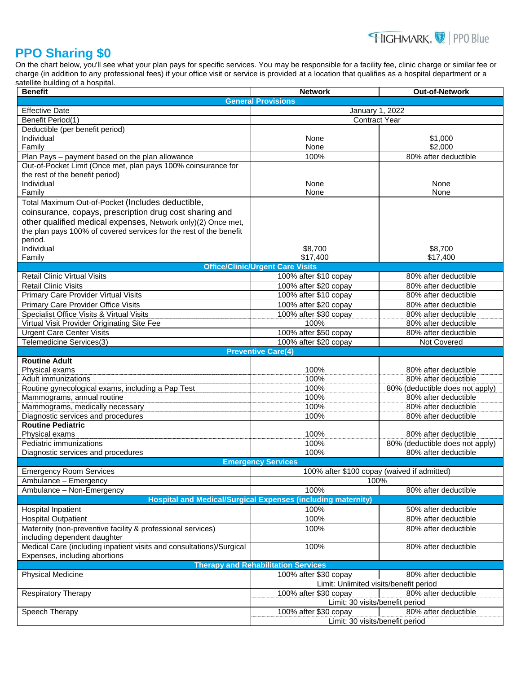## HIGHMARK. PPO Blue

## **PPO Sharing \$0**

On the chart below, you'll see what your plan pays for specific services. You may be responsible for a facility fee, clinic charge or similar fee or charge (in addition to any professional fees) if your office visit or service is provided at a location that qualifies as a hospital department or a satellite building of a hospital.

| <b>Benefit</b>                                                                                        | <b>Network</b>                                                      | <b>Out-of-Network</b>                                   |  |
|-------------------------------------------------------------------------------------------------------|---------------------------------------------------------------------|---------------------------------------------------------|--|
| <b>General Provisions</b>                                                                             |                                                                     |                                                         |  |
| <b>Effective Date</b>                                                                                 | January 1, 2022                                                     |                                                         |  |
| Benefit Period(1)                                                                                     | <b>Contract Year</b>                                                |                                                         |  |
| Deductible (per benefit period)                                                                       |                                                                     |                                                         |  |
| Individual                                                                                            | None                                                                | \$1,000                                                 |  |
| Family                                                                                                | None                                                                | \$2,000                                                 |  |
| Plan Pays - payment based on the plan allowance                                                       | 100%                                                                | 80% after deductible                                    |  |
| Out-of-Pocket Limit (Once met, plan pays 100% coinsurance for                                         |                                                                     |                                                         |  |
| the rest of the benefit period)<br>Individual                                                         |                                                                     |                                                         |  |
| Family                                                                                                | None<br>None                                                        | None<br>None                                            |  |
| Total Maximum Out-of-Pocket (Includes deductible,                                                     |                                                                     |                                                         |  |
| coinsurance, copays, prescription drug cost sharing and                                               |                                                                     |                                                         |  |
| other qualified medical expenses, Network only)(2) Once met,                                          |                                                                     |                                                         |  |
| the plan pays 100% of covered services for the rest of the benefit                                    |                                                                     |                                                         |  |
| period.                                                                                               |                                                                     |                                                         |  |
| Individual                                                                                            | \$8,700                                                             | \$8,700                                                 |  |
| Family                                                                                                | \$17,400                                                            | \$17,400                                                |  |
|                                                                                                       | <b>Office/Clinic/Urgent Care Visits</b>                             |                                                         |  |
| <b>Retail Clinic Virtual Visits</b>                                                                   | 100% after \$10 copay                                               | 80% after deductible                                    |  |
| <b>Retail Clinic Visits</b>                                                                           | 100% after \$20 copay                                               | 80% after deductible                                    |  |
| Primary Care Provider Virtual Visits                                                                  | 100% after \$10 copay                                               | 80% after deductible                                    |  |
| Primary Care Provider Office Visits                                                                   | 100% after \$20 copay                                               | 80% after deductible                                    |  |
| Specialist Office Visits & Virtual Visits                                                             | 100% after \$30 copay                                               | 80% after deductible                                    |  |
| <b>Virtual Visit Provider Originating Site Fee</b>                                                    | 100%                                                                | 80% after deductible                                    |  |
| <b>Urgent Care Center Visits</b>                                                                      | 100% after \$50 copay                                               | 80% after deductible                                    |  |
| Telemedicine Services(3)                                                                              | 100% after \$20 copay                                               | Not Covered                                             |  |
|                                                                                                       | <b>Preventive Care(4)</b>                                           |                                                         |  |
| <b>Routine Adult</b>                                                                                  |                                                                     |                                                         |  |
| Physical exams                                                                                        | 100%                                                                | 80% after deductible                                    |  |
| <b>Adult immunizations</b>                                                                            | 100%<br>100%                                                        | 80% after deductible                                    |  |
| Routine gynecological exams, including a Pap Test                                                     | 100%                                                                | 80% (deductible does not apply)<br>80% after deductible |  |
| Mammograms, annual routine<br>Mammograms, medically necessary                                         | 100%                                                                | 80% after deductible                                    |  |
| Diagnostic services and procedures                                                                    | 100%                                                                | 80% after deductible                                    |  |
| <b>Routine Pediatric</b>                                                                              |                                                                     |                                                         |  |
| Physical exams                                                                                        | 100%                                                                | 80% after deductible                                    |  |
| Pediatric immunizations                                                                               | 100%                                                                | 80% (deductible does not apply)                         |  |
| Diagnostic services and procedures                                                                    | 100%                                                                | 80% after deductible                                    |  |
| <b>Emergency Services</b>                                                                             |                                                                     |                                                         |  |
| <b>Emergency Room Services</b>                                                                        | 100% after \$100 copay (waived if admitted)                         |                                                         |  |
| Ambulance - Emergency                                                                                 | 100%                                                                |                                                         |  |
| Ambulance - Non-Emergency                                                                             | 100%                                                                | 80% after deductible                                    |  |
|                                                                                                       | <b>Hospital and Medical/Surgical Expenses (including maternity)</b> |                                                         |  |
| Hospital Inpatient                                                                                    | 100%                                                                | 50% after deductible                                    |  |
| <b>Hospital Outpatient</b>                                                                            | 100%                                                                | 80% after deductible                                    |  |
| Maternity (non-preventive facility & professional services)                                           | 100%                                                                | 80% after deductible                                    |  |
| including dependent daughter                                                                          |                                                                     |                                                         |  |
| Medical Care (including inpatient visits and consultations)/Surgical<br>Expenses, including abortions | 100%                                                                | 80% after deductible                                    |  |
| <b>Therapy and Rehabilitation Services</b>                                                            |                                                                     |                                                         |  |
| <b>Physical Medicine</b>                                                                              | 100% after \$30 copay<br>Limit: Unlimited visits/benefit period     | 80% after deductible                                    |  |
| <b>Respiratory Therapy</b>                                                                            | 100% after \$30 copay                                               | 80% after deductible                                    |  |
|                                                                                                       | Limit: 30 visits/benefit period                                     |                                                         |  |
| Speech Therapy                                                                                        | 100% after \$30 copay                                               | 80% after deductible                                    |  |
|                                                                                                       | Limit: 30 visits/benefit period                                     |                                                         |  |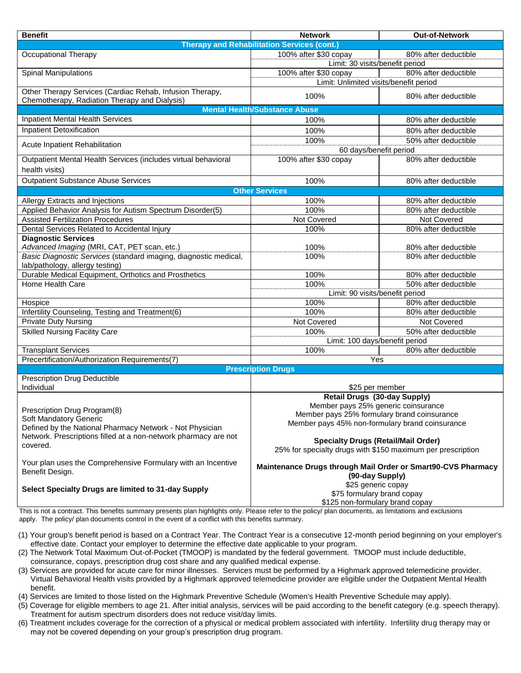| <b>Benefit</b>                                                                                            | <b>Network</b>                                                                     | <b>Out-of-Network</b> |  |
|-----------------------------------------------------------------------------------------------------------|------------------------------------------------------------------------------------|-----------------------|--|
| <b>Therapy and Rehabilitation Services (cont.)</b>                                                        |                                                                                    |                       |  |
| Occupational Therapy                                                                                      | 100% after \$30 copay                                                              | 80% after deductible  |  |
|                                                                                                           | Limit: 30 visits/benefit period                                                    |                       |  |
| <b>Spinal Manipulations</b>                                                                               | 100% after \$30 copay                                                              | 80% after deductible  |  |
|                                                                                                           | Limit: Unlimited visits/benefit period                                             |                       |  |
| Other Therapy Services (Cardiac Rehab, Infusion Therapy,<br>Chemotherapy, Radiation Therapy and Dialysis) | 100%                                                                               | 80% after deductible  |  |
| <b>Mental Health/Substance Abuse</b>                                                                      |                                                                                    |                       |  |
| <b>Inpatient Mental Health Services</b>                                                                   | 100%                                                                               | 80% after deductible  |  |
| Inpatient Detoxification                                                                                  | 100%                                                                               | 80% after deductible  |  |
|                                                                                                           | 100%                                                                               | 50% after deductible  |  |
| Acute Inpatient Rehabilitation                                                                            | 60 days/benefit period                                                             |                       |  |
| Outpatient Mental Health Services (includes virtual behavioral                                            | 100% after \$30 copay                                                              | 80% after deductible  |  |
| health visits)                                                                                            |                                                                                    |                       |  |
| <b>Outpatient Substance Abuse Services</b>                                                                | 100%                                                                               | 80% after deductible  |  |
| <b>Other Services</b>                                                                                     |                                                                                    |                       |  |
| Allergy Extracts and Injections                                                                           | 100%                                                                               | 80% after deductible  |  |
| Applied Behavior Analysis for Autism Spectrum Disorder(5)                                                 | 100%                                                                               | 80% after deductible  |  |
| <b>Assisted Fertilization Procedures</b>                                                                  | Not Covered                                                                        | Not Covered           |  |
| Dental Services Related to Accidental Injury                                                              | 100%                                                                               | 80% after deductible  |  |
| <b>Diagnostic Services</b>                                                                                |                                                                                    |                       |  |
| Advanced Imaging (MRI, CAT, PET scan, etc.)                                                               | 100%                                                                               | 80% after deductible  |  |
| Basic Diagnostic Services (standard imaging, diagnostic medical,                                          | 100%                                                                               | 80% after deductible  |  |
| lab/pathology, allergy testing)                                                                           |                                                                                    |                       |  |
| Durable Medical Equipment, Orthotics and Prosthetics                                                      | 100%                                                                               | 80% after deductible  |  |
| Home Health Care                                                                                          | 100%                                                                               | 50% after deductible  |  |
|                                                                                                           | Limit: 90 visits/benefit period                                                    |                       |  |
| Hospice                                                                                                   | 100%                                                                               | 80% after deductible  |  |
| Infertility Counseling, Testing and Treatment(6)                                                          | 100%                                                                               | 80% after deductible  |  |
| <b>Private Duty Nursing</b>                                                                               | Not Covered                                                                        | Not Covered           |  |
| <b>Skilled Nursing Facility Care</b>                                                                      | 100%                                                                               | 50% after deductible  |  |
|                                                                                                           | Limit: 100 days/benefit period                                                     |                       |  |
| <b>Transplant Services</b>                                                                                | 100%                                                                               | 80% after deductible  |  |
| Precertification/Authorization Requirements(7)                                                            | Yes                                                                                |                       |  |
| <b>Prescription Drugs</b>                                                                                 |                                                                                    |                       |  |
| Prescription Drug Deductible                                                                              |                                                                                    |                       |  |
| Individual                                                                                                | \$25 per member                                                                    |                       |  |
|                                                                                                           | <b>Retail Drugs (30-day Supply)</b>                                                |                       |  |
| Prescription Drug Program(8)                                                                              | Member pays 25% generic coinsurance<br>Member pays 25% formulary brand coinsurance |                       |  |
| Soft Mandatory Generic                                                                                    | Member pays 45% non-formulary brand coinsurance                                    |                       |  |
| Defined by the National Pharmacy Network - Not Physician                                                  |                                                                                    |                       |  |
| Network. Prescriptions filled at a non-network pharmacy are not                                           | <b>Specialty Drugs (Retail/Mail Order)</b>                                         |                       |  |
| covered.                                                                                                  | 25% for specialty drugs with \$150 maximum per prescription                        |                       |  |
|                                                                                                           |                                                                                    |                       |  |
| Your plan uses the Comprehensive Formulary with an Incentive<br>Benefit Design.                           | Maintenance Drugs through Mail Order or Smart90-CVS Pharmacy                       |                       |  |
|                                                                                                           | (90-day Supply)                                                                    |                       |  |
| Select Specialty Drugs are limited to 31-day Supply                                                       | \$25 generic copay                                                                 |                       |  |
|                                                                                                           | \$75 formulary brand copay                                                         |                       |  |
|                                                                                                           | \$125 non-formulary brand copay                                                    |                       |  |

This is not a contract. This benefits summary presents plan highlights only. Please refer to the policy/ plan documents, as limitations and exclusions apply. The policy/ plan documents control in the event of a conflict with this benefits summary.

- (1) Your group's benefit period is based on a Contract Year. The Contract Year is a consecutive 12-month period beginning on your employer's effective date. Contact your employer to determine the effective date applicable to your program.
- (2) The Network Total Maximum Out-of-Pocket (TMOOP) is mandated by the federal government. TMOOP must include deductible, coinsurance, copays, prescription drug cost share and any qualified medical expense.
- (3) Services are provided for acute care for minor illnesses. Services must be performed by a Highmark approved telemedicine provider. Virtual Behavioral Health visits provided by a Highmark approved telemedicine provider are eligible under the Outpatient Mental Health benefit.
- (4) Services are limited to those listed on the Highmark Preventive Schedule (Women's Health Preventive Schedule may apply).
- (5) Coverage for eligible members to age 21. After initial analysis, services will be paid according to the benefit category (e.g. speech therapy). Treatment for autism spectrum disorders does not reduce visit/day limits.
- (6) Treatment includes coverage for the correction of a physical or medical problem associated with infertility. Infertility drug therapy may or may not be covered depending on your group's prescription drug program.